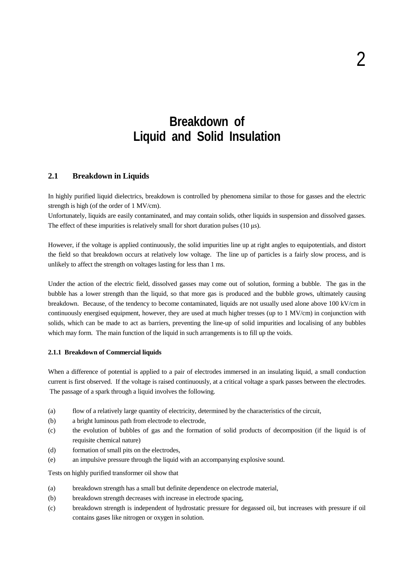# **Breakdown of Liquid and Solid Insulation**

# **2.1 Breakdown in Liquids**

In highly purified liquid dielectrics, breakdown is controlled by phenomena similar to those for gasses and the electric strength is high (of the order of 1 MV/cm).

Unfortunately, liquids are easily contaminated, and may contain solids, other liquids in suspension and dissolved gasses. The effect of these impurities is relatively small for short duration pulses  $(10 \mu s)$ .

However, if the voltage is applied continuously, the solid impurities line up at right angles to equipotentials, and distort the field so that breakdown occurs at relatively low voltage. The line up of particles is a fairly slow process, and is unlikely to affect the strength on voltages lasting for less than 1 ms.

Under the action of the electric field, dissolved gasses may come out of solution, forming a bubble. The gas in the bubble has a lower strength than the liquid, so that more gas is produced and the bubble grows, ultimately causing breakdown. Because, of the tendency to become contaminated, liquids are not usually used alone above 100 kV/cm in continuously energised equipment, however, they are used at much higher tresses (up to 1 MV/cm) in conjunction with solids, which can be made to act as barriers, preventing the line-up of solid impurities and localising of any bubbles which may form. The main function of the liquid in such arrangements is to fill up the voids.

# **2.1.1 Breakdown of Commercial liquids**

When a difference of potential is applied to a pair of electrodes immersed in an insulating liquid, a small conduction current is first observed. If the voltage is raised continuously, at a critical voltage a spark passes between the electrodes. The passage of a spark through a liquid involves the following.

- (a) flow of a relatively large quantity of electricity, determined by the characteristics of the circuit,
- (b) a bright luminous path from electrode to electrode,
- (c) the evolution of bubbles of gas and the formation of solid products of decomposition (if the liquid is of requisite chemical nature)
- (d) formation of small pits on the electrodes,
- (e) an impulsive pressure through the liquid with an accompanying explosive sound.

Tests on highly purified transformer oil show that

- (a) breakdown strength has a small but definite dependence on electrode material,
- (b) breakdown strength decreases with increase in electrode spacing,
- (c) breakdown strength is independent of hydrostatic pressure for degassed oil, but increases with pressure if oil contains gases like nitrogen or oxygen in solution.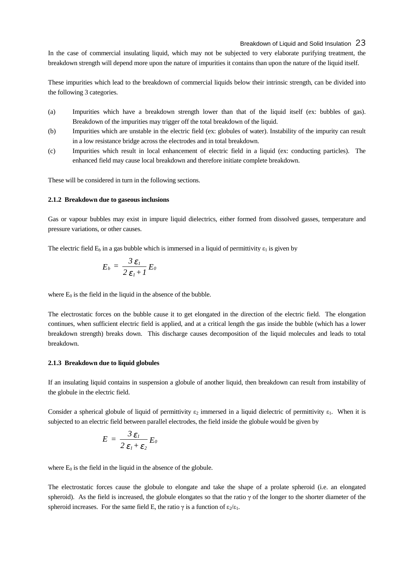# Breakdown of Liquid and Solid Insulation  $23$

In the case of commercial insulating liquid, which may not be subjected to very elaborate purifying treatment, the breakdown strength will depend more upon the nature of impurities it contains than upon the nature of the liquid itself.

These impurities which lead to the breakdown of commercial liquids below their intrinsic strength, can be divided into the following 3 categories.

- (a) Impurities which have a breakdown strength lower than that of the liquid itself (ex: bubbles of gas). Breakdown of the impurities may trigger off the total breakdown of the liquid.
- (b) Impurities which are unstable in the electric field (ex: globules of water). Instability of the impurity can result in a low resistance bridge across the electrodes and in total breakdown.
- (c) Impurities which result in local enhancement of electric field in a liquid (ex: conducting particles). The enhanced field may cause local breakdown and therefore initiate complete breakdown.

These will be considered in turn in the following sections.

#### **2.1.2 Breakdown due to gaseous inclusions**

Gas or vapour bubbles may exist in impure liquid dielectrics, either formed from dissolved gasses, temperature and pressure variations, or other causes.

The electric field  $E_b$  in a gas bubble which is immersed in a liquid of permittivity  $\varepsilon_1$  is given by

$$
E_b = \frac{3 \,\varepsilon_1}{2 \,\varepsilon_1 + 1} E_0
$$

where  $E_0$  is the field in the liquid in the absence of the bubble.

The electrostatic forces on the bubble cause it to get elongated in the direction of the electric field. The elongation continues, when sufficient electric field is applied, and at a critical length the gas inside the bubble (which has a lower breakdown strength) breaks down. This discharge causes decomposition of the liquid molecules and leads to total breakdown.

#### **2.1.3 Breakdown due to liquid globules**

If an insulating liquid contains in suspension a globule of another liquid, then breakdown can result from instability of the globule in the electric field.

Consider a spherical globule of liquid of permittivity  $\varepsilon_2$  immersed in a liquid dielectric of permittivity  $\varepsilon_1$ . When it is subjected to an electric field between parallel electrodes, the field inside the globule would be given by

$$
E=\frac{3\,\varepsilon_{\scriptscriptstyle{I}}}{2\,\varepsilon_{\scriptscriptstyle{I}}+\varepsilon_{\scriptscriptstyle{2}}}\,E_o
$$

where  $E_0$  is the field in the liquid in the absence of the globule.

The electrostatic forces cause the globule to elongate and take the shape of a prolate spheroid (i.e. an elongated spheroid). As the field is increased, the globule elongates so that the ratio  $\gamma$  of the longer to the shorter diameter of the spheroid increases. For the same field E, the ratio  $\gamma$  is a function of  $\epsilon_2/\epsilon_1$ .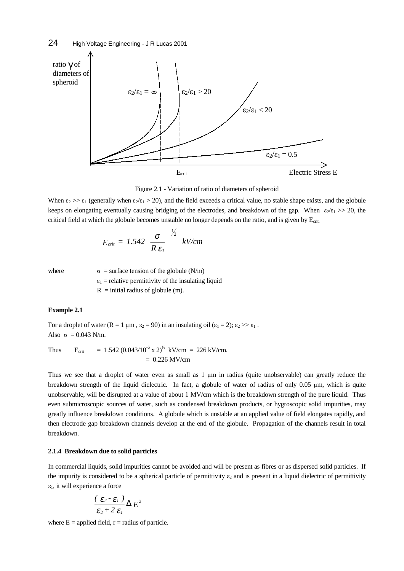

Figure 2.1 - Variation of ratio of diameters of spheroid

When  $\varepsilon_2 >> \varepsilon_1$  (generally when  $\varepsilon_2/\varepsilon_1 > 20$ ), and the field exceeds a critical value, no stable shape exists, and the globule keeps on elongating eventually causing bridging of the electrodes, and breakdown of the gap. When  $\epsilon_2/\epsilon_1 >> 20$ , the critical field at which the globule becomes unstable no longer depends on the ratio, and is given by E<sub>crit</sub>.

$$
E_{crit} = 1.542 \left(\frac{\sigma}{R \, \varepsilon_1}\right)^{\frac{1}{2}} \; kV/cm
$$

where  $\sigma$  = surface tension of the globule (N/m)  $\varepsilon_1$  = relative permittivity of the insulating liquid  $R =$  initial radius of globule (m).

#### **Example 2.1**

For a droplet of water ( $R = 1 \mu m$ ,  $\varepsilon_2 = 90$ ) in an insulating oil ( $\varepsilon_1 = 2$ );  $\varepsilon_2 >> \varepsilon_1$ . Also  $\sigma = 0.043$  N/m.

Thus  $E_{\text{crit}} = 1.542 (0.043/10^{-6} \text{ x } 2)^{1/2} \text{ kV/cm} = 226 \text{ kV/cm}.$  $= 0.226$  MV/cm

Thus we see that a droplet of water even as small as  $1 \mu m$  in radius (quite unobservable) can greatly reduce the breakdown strength of the liquid dielectric. In fact, a globule of water of radius of only 0.05 µm, which is quite unobservable, will be disrupted at a value of about 1 MV/cm which is the breakdown strength of the pure liquid. Thus even submicroscopic sources of water, such as condensed breakdown products, or hygroscopic solid impurities, may greatly influence breakdown conditions. A globule which is unstable at an applied value of field elongates rapidly, and then electrode gap breakdown channels develop at the end of the globule. Propagation of the channels result in total breakdown.

#### **2.1.4 Breakdown due to solid particles**

In commercial liquids, solid impurities cannot be avoided and will be present as fibres or as dispersed solid particles. If the impurity is considered to be a spherical particle of permittivity  $\varepsilon_2$  and is present in a liquid dielectric of permittivity  $\varepsilon_1$ , it will experience a force

$$
\frac{(\varepsilon_2-\varepsilon_1)}{\varepsilon_2+2\varepsilon_1}\Delta E^2
$$

where  $E =$  applied field,  $r =$  radius of particle.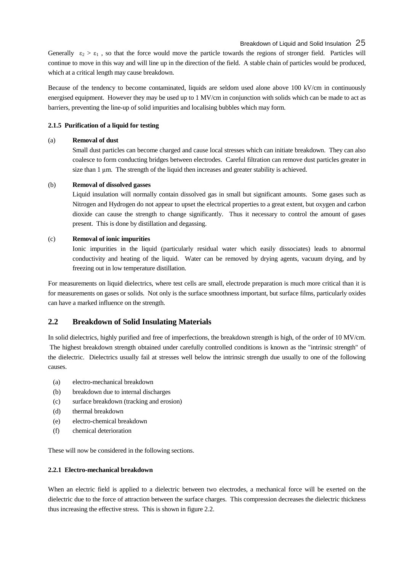# Breakdown of Liquid and Solid Insulation  $25$

Generally  $\epsilon_2 > \epsilon_1$ , so that the force would move the particle towards the regions of stronger field. Particles will continue to move in this way and will line up in the direction of the field. A stable chain of particles would be produced, which at a critical length may cause breakdown.

Because of the tendency to become contaminated, liquids are seldom used alone above 100 kV/cm in continuously energised equipment. However they may be used up to 1 MV/cm in conjunction with solids which can be made to act as barriers, preventing the line-up of solid impurities and localising bubbles which may form.

### **2.1.5 Purification of a liquid for testing**

#### (a) **Removal of dust**

 Small dust particles can become charged and cause local stresses which can initiate breakdown. They can also coalesce to form conducting bridges between electrodes. Careful filtration can remove dust particles greater in size than  $1 \mu m$ . The strength of the liquid then increases and greater stability is achieved.

### (b) **Removal of dissolved gasses**

 Liquid insulation will normally contain dissolved gas in small but significant amounts. Some gases such as Nitrogen and Hydrogen do not appear to upset the electrical properties to a great extent, but oxygen and carbon dioxide can cause the strength to change significantly. Thus it necessary to control the amount of gases present. This is done by distillation and degassing.

#### (c) **Removal of ionic impurities**

 Ionic impurities in the liquid (particularly residual water which easily dissociates) leads to abnormal conductivity and heating of the liquid. Water can be removed by drying agents, vacuum drying, and by freezing out in low temperature distillation.

For measurements on liquid dielectrics, where test cells are small, electrode preparation is much more critical than it is for measurements on gases or solids. Not only is the surface smoothness important, but surface films, particularly oxides can have a marked influence on the strength.

# **2.2 Breakdown of Solid Insulating Materials**

In solid dielectrics, highly purified and free of imperfections, the breakdown strength is high, of the order of 10 MV/cm. The highest breakdown strength obtained under carefully controlled conditions is known as the "intrinsic strength" of the dielectric. Dielectrics usually fail at stresses well below the intrinsic strength due usually to one of the following causes.

- (a) electro-mechanical breakdown
- (b) breakdown due to internal discharges
- (c) surface breakdown (tracking and erosion)
- (d) thermal breakdown
- (e) electro-chemical breakdown
- (f) chemical deterioration

These will now be considered in the following sections.

#### **2.2.1 Electro-mechanical breakdown**

When an electric field is applied to a dielectric between two electrodes, a mechanical force will be exerted on the dielectric due to the force of attraction between the surface charges. This compression decreases the dielectric thickness thus increasing the effective stress. This is shown in figure 2.2.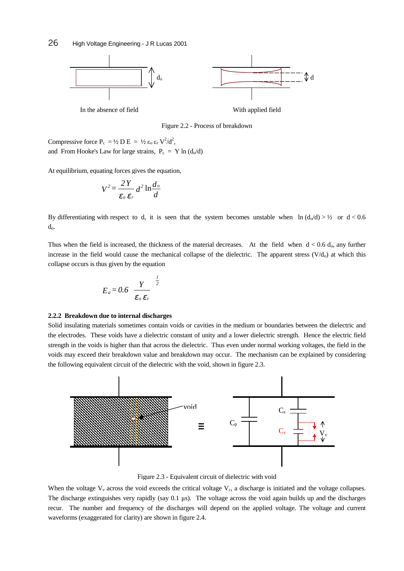



Compressive force  $P_c = \frac{1}{2} D E = \frac{1}{2} \varepsilon_o \varepsilon_r V^2 / d^2$ , and From Hooke's Law for large strains,  $P_c = Y \ln(d_o/d)$ 

At equilibrium, equating forces gives the equation,

$$
V^2 = \frac{2Y}{\varepsilon_o \varepsilon_r} d^2 \ln \frac{d_o}{d}
$$

By differentiating with respect to d, it is seen that the system becomes unstable when  $\ln (d_0/d) > \frac{1}{2}$  or  $d < 0.6$  $d_{\alpha}$ .

Thus when the field is increased, the thickness of the material decreases. At the field when  $d < 0.6 d_0$ , any further increase in the field would cause the mechanical collapse of the dielectric. The apparent stress  $(V/d<sub>o</sub>)$  at which this collapse occurs is thus given by the equation

$$
E_a = 0.6 \left[ \frac{Y}{\varepsilon_o \varepsilon_r} \right]^{\frac{1}{2}}
$$

#### **2.2.2 Breakdown due to internal discharges**

Solid insulating materials sometimes contain voids or cavities in the medium or boundaries between the dielectric and the electrodes. These voids have a dielectric constant of unity and a lower dielectric strength. Hence the electric field strength in the voids is higher than that across the dielectric. Thus even under normal working voltages, the field in the voids may exceed their breakdown value and breakdown may occur. The mechanism can be explained by considering the following equivalent circuit of the dielectric with the void, shown in figure 2.3.



Figure 2.3 - Equivalent circuit of dielectric with void

When the voltage  $V_y$  across the void exceeds the critical voltage  $V_y$ , a discharge is initiated and the voltage collapses. The discharge extinguishes very rapidly (say  $0.1 \text{ }\mu\text{s}$ ). The voltage across the void again builds up and the discharges recur. The number and frequency of the discharges will depend on the applied voltage. The voltage and current waveforms (exaggerated for clarity) are shown in figure 2.4.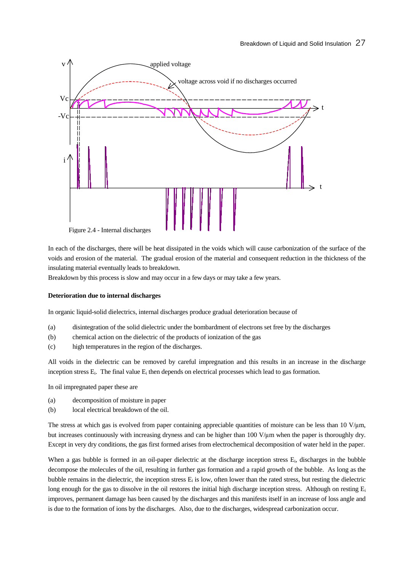

In each of the discharges, there will be heat dissipated in the voids which will cause carbonization of the surface of the voids and erosion of the material. The gradual erosion of the material and consequent reduction in the thickness of the insulating material eventually leads to breakdown.

Breakdown by this process is slow and may occur in a few days or may take a few years.

#### **Deterioration due to internal discharges**

In organic liquid-solid dielectrics, internal discharges produce gradual deterioration because of

- (a) disintegration of the solid dielectric under the bombardment of electrons set free by the discharges
- (b) chemical action on the dielectric of the products of ionization of the gas
- (c) high temperatures in the region of the discharges.

All voids in the dielectric can be removed by careful impregnation and this results in an increase in the discharge inception stress  $E_i$ . The final value  $E_i$  then depends on electrical processes which lead to gas formation.

In oil impregnated paper these are

- (a) decomposition of moisture in paper
- (b) local electrical breakdown of the oil.

The stress at which gas is evolved from paper containing appreciable quantities of moisture can be less than 10 V/ $\mu$ m, but increases continuously with increasing dryness and can be higher than 100 V/ $\mu$ m when the paper is thoroughly dry. Except in very dry conditions, the gas first formed arises from electrochemical decomposition of water held in the paper.

When a gas bubble is formed in an oil-paper dielectric at the discharge inception stress  $E_i$ , discharges in the bubble decompose the molecules of the oil, resulting in further gas formation and a rapid growth of the bubble. As long as the bubble remains in the dielectric, the inception stress  $E_i$  is low, often lower than the rated stress, but resting the dielectric long enough for the gas to dissolve in the oil restores the initial high discharge inception stress. Although on resting  $E_i$ improves, permanent damage has been caused by the discharges and this manifests itself in an increase of loss angle and is due to the formation of ions by the discharges. Also, due to the discharges, widespread carbonization occur.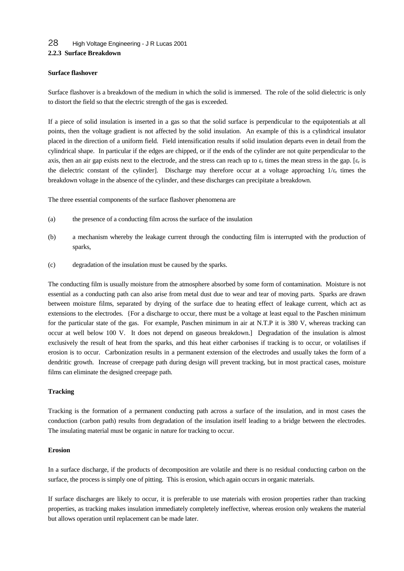### **2.2.3 Surface Breakdown**

#### **Surface flashover**

Surface flashover is a breakdown of the medium in which the solid is immersed. The role of the solid dielectric is only to distort the field so that the electric strength of the gas is exceeded.

If a piece of solid insulation is inserted in a gas so that the solid surface is perpendicular to the equipotentials at all points, then the voltage gradient is not affected by the solid insulation. An example of this is a cylindrical insulator placed in the direction of a uniform field. Field intensification results if solid insulation departs even in detail from the cylindrical shape. In particular if the edges are chipped, or if the ends of the cylinder are not quite perpendicular to the axis, then an air gap exists next to the electrode, and the stress can reach up to  $\varepsilon_r$  times the mean stress in the gap.  $[\varepsilon_r]$  is the dielectric constant of the cylinder]. Discharge may therefore occur at a voltage approaching  $1/\varepsilon$ <sub>r</sub> times the breakdown voltage in the absence of the cylinder, and these discharges can precipitate a breakdown.

The three essential components of the surface flashover phenomena are

- (a) the presence of a conducting film across the surface of the insulation
- (b) a mechanism whereby the leakage current through the conducting film is interrupted with the production of sparks,
- (c) degradation of the insulation must be caused by the sparks.

The conducting film is usually moisture from the atmosphere absorbed by some form of contamination. Moisture is not essential as a conducting path can also arise from metal dust due to wear and tear of moving parts. Sparks are drawn between moisture films, separated by drying of the surface due to heating effect of leakage current, which act as extensions to the electrodes. {For a discharge to occur, there must be a voltage at least equal to the Paschen minimum for the particular state of the gas. For example, Paschen minimum in air at N.T.P it is 380 V, whereas tracking can occur at well below 100 V. It does not depend on gaseous breakdown.] Degradation of the insulation is almost exclusively the result of heat from the sparks, and this heat either carbonises if tracking is to occur, or volatilises if erosion is to occur. Carbonization results in a permanent extension of the electrodes and usually takes the form of a dendritic growth. Increase of creepage path during design will prevent tracking, but in most practical cases, moisture films can eliminate the designed creepage path.

#### **Tracking**

Tracking is the formation of a permanent conducting path across a surface of the insulation, and in most cases the conduction (carbon path) results from degradation of the insulation itself leading to a bridge between the electrodes. The insulating material must be organic in nature for tracking to occur.

#### **Erosion**

In a surface discharge, if the products of decomposition are volatile and there is no residual conducting carbon on the surface, the process is simply one of pitting. This is erosion, which again occurs in organic materials.

If surface discharges are likely to occur, it is preferable to use materials with erosion properties rather than tracking properties, as tracking makes insulation immediately completely ineffective, whereas erosion only weakens the material but allows operation until replacement can be made later.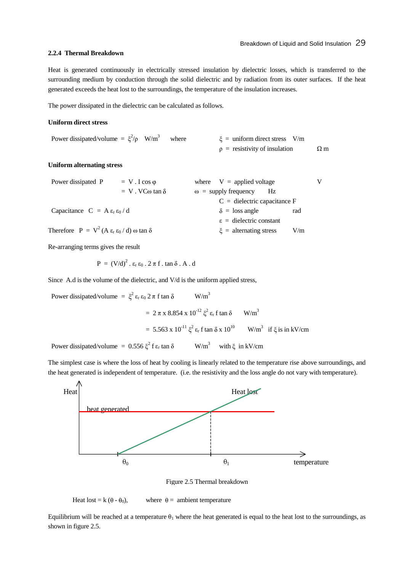#### **2.2.4 Thermal Breakdown**

Heat is generated continuously in electrically stressed insulation by dielectric losses, which is transferred to the surrounding medium by conduction through the solid dielectric and by radiation from its outer surfaces. If the heat generated exceeds the heat lost to the surroundings, the temperature of the insulation increases.

The power dissipated in the dielectric can be calculated as follows.

#### **Uniform direct stress**

| Power dissipated/volume = $\xi^2/\rho$ W/m <sup>3</sup> where |  | $\xi$ = uniform direct stress V/m  |    |
|---------------------------------------------------------------|--|------------------------------------|----|
|                                                               |  | $\rho$ = resistivity of insulation | Ωm |

#### **Uniform alternating stress**

| Power dissipated P                                                   | $= V \cdot I \cos \varphi$       | where $V =$ applied voltage        |  |
|----------------------------------------------------------------------|----------------------------------|------------------------------------|--|
|                                                                      | $= V. V$ C $\omega$ tan $\delta$ | $\omega$ = supply frequency<br>Hz. |  |
|                                                                      |                                  | $C =$ dielectric capacitance F     |  |
| Capacitance $C = A \epsilon_r \epsilon_0 / d$                        |                                  | $\delta$ = loss angle<br>rad       |  |
|                                                                      |                                  | $\epsilon$ = dielectric constant   |  |
| Therefore $P = V^2 (A \epsilon_r \epsilon_0 / d) \omega \tan \delta$ |                                  | $\xi$ = alternating stress<br>V/m  |  |

Re-arranging terms gives the result

$$
P = (V/d)^2 \cdot \varepsilon_r \varepsilon_0 \cdot 2 \pi f \cdot \tan \delta \cdot A \cdot d
$$

Since A.d is the volume of the dielectric, and V/d is the uniform applied stress,

Power dissipated/volume =  $\xi^2 \varepsilon_r \varepsilon_0 2 \pi f \tan \delta$  W/m<sup>3</sup>  $= 2 \pi x 8.854 x 10^{-12} \xi^2 \epsilon_r f \tan \delta$  W/m<sup>3</sup> = 5.563 x 10<sup>-11</sup>  $\xi^2$   $\varepsilon_r$  f tan  $\delta$  x 10<sup>10</sup> W/m<sup>3</sup> if  $\xi$  is in kV/cm Power dissipated/volume =  $0.556 \xi^2$  f  $\varepsilon_r$  tan  $\delta$  W/m<sup>3</sup>  $W/m^3$  with  $\xi$  in kV/cm

The simplest case is where the loss of heat by cooling is linearly related to the temperature rise above surroundings, and the heat generated is independent of temperature. (i.e. the resistivity and the loss angle do not vary with temperature).



Figure 2.5 Thermal breakdown

Heat lost = k  $(\theta - \theta_0)$ , where  $\theta$  = ambient temperature

Equilibrium will be reached at a temperature  $\theta_1$  where the heat generated is equal to the heat lost to the surroundings, as shown in figure 2.5.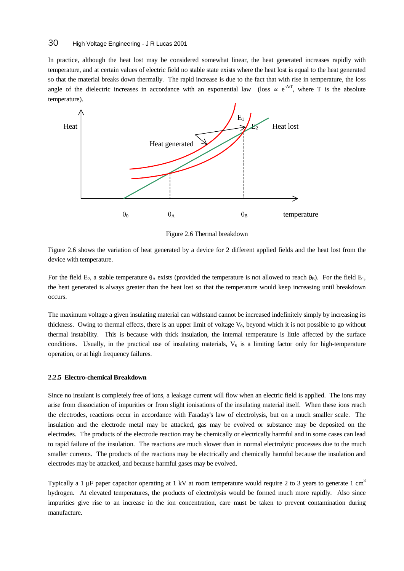In practice, although the heat lost may be considered somewhat linear, the heat generated increases rapidly with temperature, and at certain values of electric field no stable state exists where the heat lost is equal to the heat generated so that the material breaks down thermally. The rapid increase is due to the fact that with rise in temperature, the loss angle of the dielectric increases in accordance with an exponential law (loss  $\propto e^{-AT}$ , where T is the absolute temperature).



Figure 2.6 Thermal breakdown

Figure 2.6 shows the variation of heat generated by a device for 2 different applied fields and the heat lost from the device with temperature.

For the field E<sub>2</sub>, a stable temperature  $\theta_A$  exists (provided the temperature is not allowed to reach  $\theta_B$ ). For the field E<sub>1</sub>, the heat generated is always greater than the heat lost so that the temperature would keep increasing until breakdown occurs.

The maximum voltage a given insulating material can withstand cannot be increased indefinitely simply by increasing its thickness. Owing to thermal effects, there is an upper limit of voltage  $V_{\theta}$ , beyond which it is not possible to go without thermal instability. This is because with thick insulation, the internal temperature is little affected by the surface conditions. Usually, in the practical use of insulating materials,  $V_{\theta}$  is a limiting factor only for high-temperature operation, or at high frequency failures.

#### **2.2.5 Electro-chemical Breakdown**

Since no insulant is completely free of ions, a leakage current will flow when an electric field is applied. The ions may arise from dissociation of impurities or from slight ionisations of the insulating material itself. When these ions reach the electrodes, reactions occur in accordance with Faraday's law of electrolysis, but on a much smaller scale. The insulation and the electrode metal may be attacked, gas may be evolved or substance may be deposited on the electrodes. The products of the electrode reaction may be chemically or electrically harmful and in some cases can lead to rapid failure of the insulation. The reactions are much slower than in normal electrolytic processes due to the much smaller currents. The products of the reactions may be electrically and chemically harmful because the insulation and electrodes may be attacked, and because harmful gases may be evolved.

Typically a 1  $\mu$ F paper capacitor operating at 1 kV at room temperature would require 2 to 3 years to generate 1 cm<sup>3</sup> hydrogen. At elevated temperatures, the products of electrolysis would be formed much more rapidly. Also since impurities give rise to an increase in the ion concentration, care must be taken to prevent contamination during manufacture.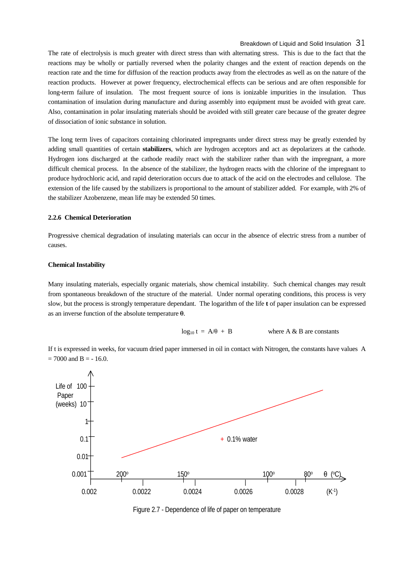#### Breakdown of Liquid and Solid Insulation 31

The rate of electrolysis is much greater with direct stress than with alternating stress. This is due to the fact that the reactions may be wholly or partially reversed when the polarity changes and the extent of reaction depends on the reaction rate and the time for diffusion of the reaction products away from the electrodes as well as on the nature of the reaction products. However at power frequency, electrochemical effects can be serious and are often responsible for long-term failure of insulation. The most frequent source of ions is ionizable impurities in the insulation. Thus contamination of insulation during manufacture and during assembly into equipment must be avoided with great care. Also, contamination in polar insulating materials should be avoided with still greater care because of the greater degree of dissociation of ionic substance in solution.

The long term lives of capacitors containing chlorinated impregnants under direct stress may be greatly extended by adding small quantities of certain **stabilizers**, which are hydrogen acceptors and act as depolarizers at the cathode. Hydrogen ions discharged at the cathode readily react with the stabilizer rather than with the impregnant, a more difficult chemical process. In the absence of the stabilizer, the hydrogen reacts with the chlorine of the impregnant to produce hydrochloric acid, and rapid deterioration occurs due to attack of the acid on the electrodes and cellulose. The extension of the life caused by the stabilizers is proportional to the amount of stabilizer added. For example, with 2% of the stabilizer Azobenzene, mean life may be extended 50 times.

#### **2.2.6 Chemical Deterioration**

Progressive chemical degradation of insulating materials can occur in the absence of electric stress from a number of causes.

#### **Chemical Instability**

Many insulating materials, especially organic materials, show chemical instability. Such chemical changes may result from spontaneous breakdown of the structure of the material. Under normal operating conditions, this process is very slow, but the process is strongly temperature dependant. The logarithm of the life **t** of paper insulation can be expressed as an inverse function of the absolute temperature  $\theta$ .

$$
log_{10} t = A/\theta + B
$$
 where A & B are constants

If t is expressed in weeks, for vacuum dried paper immersed in oil in contact with Nitrogen, the constants have values A  $= 7000$  and B = -16.0.



Figure 2.7 - Dependence of life of paper on temperature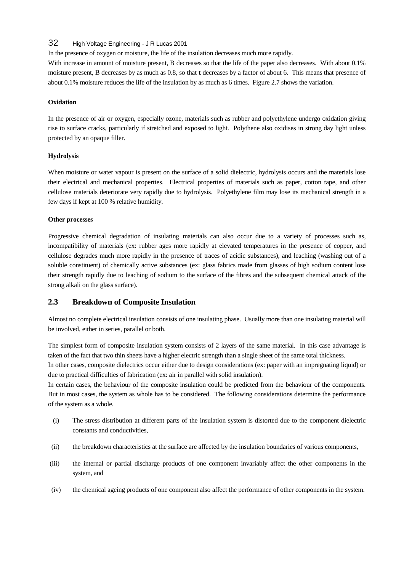In the presence of oxygen or moisture, the life of the insulation decreases much more rapidly.

With increase in amount of moisture present, B decreases so that the life of the paper also decreases. With about 0.1% moisture present, B decreases by as much as 0.8, so that **t** decreases by a factor of about 6. This means that presence of about 0.1% moisture reduces the life of the insulation by as much as 6 times. Figure 2.7 shows the variation.

### **Oxidation**

In the presence of air or oxygen, especially ozone, materials such as rubber and polyethylene undergo oxidation giving rise to surface cracks, particularly if stretched and exposed to light. Polythene also oxidises in strong day light unless protected by an opaque filler.

### **Hydrolysis**

When moisture or water vapour is present on the surface of a solid dielectric, hydrolysis occurs and the materials lose their electrical and mechanical properties. Electrical properties of materials such as paper, cotton tape, and other cellulose materials deteriorate very rapidly due to hydrolysis. Polyethylene film may lose its mechanical strength in a few days if kept at 100 % relative humidity.

### **Other processes**

Progressive chemical degradation of insulating materials can also occur due to a variety of processes such as, incompatibility of materials (ex: rubber ages more rapidly at elevated temperatures in the presence of copper, and cellulose degrades much more rapidly in the presence of traces of acidic substances), and leaching (washing out of a soluble constituent) of chemically active substances (ex: glass fabrics made from glasses of high sodium content lose their strength rapidly due to leaching of sodium to the surface of the fibres and the subsequent chemical attack of the strong alkali on the glass surface).

# **2.3 Breakdown of Composite Insulation**

Almost no complete electrical insulation consists of one insulating phase. Usually more than one insulating material will be involved, either in series, parallel or both.

The simplest form of composite insulation system consists of 2 layers of the same material. In this case advantage is taken of the fact that two thin sheets have a higher electric strength than a single sheet of the same total thickness. In other cases, composite dielectrics occur either due to design considerations (ex: paper with an impregnating liquid) or due to practical difficulties of fabrication (ex: air in parallel with solid insulation).

In certain cases, the behaviour of the composite insulation could be predicted from the behaviour of the components. But in most cases, the system as whole has to be considered. The following considerations determine the performance of the system as a whole.

- (i) The stress distribution at different parts of the insulation system is distorted due to the component dielectric constants and conductivities,
- (ii) the breakdown characteristics at the surface are affected by the insulation boundaries of various components,
- (iii) the internal or partial discharge products of one component invariably affect the other components in the system, and
- (iv) the chemical ageing products of one component also affect the performance of other components in the system.